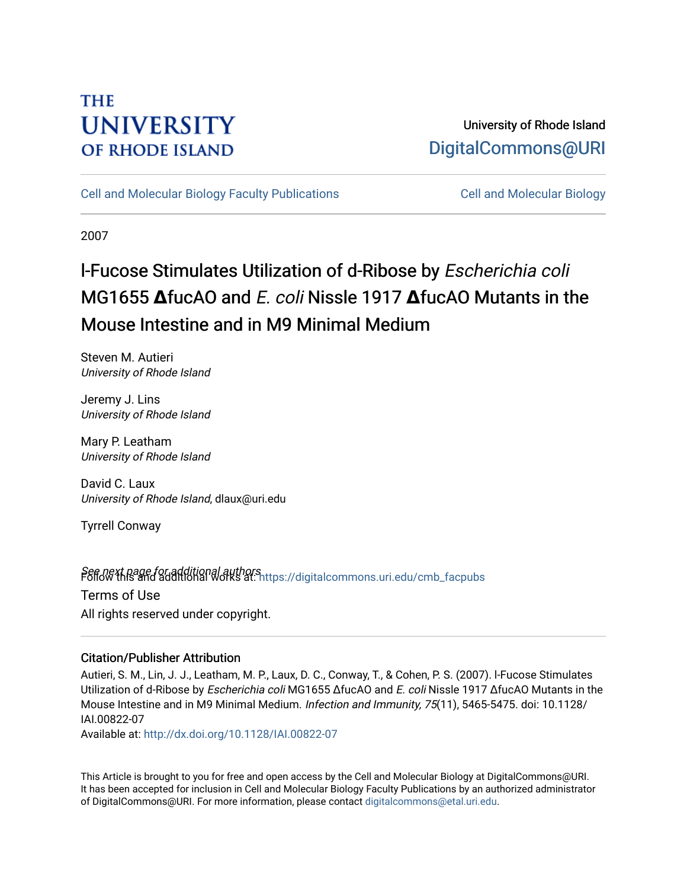# **THE UNIVERSITY OF RHODE ISLAND**

## University of Rhode Island [DigitalCommons@URI](https://digitalcommons.uri.edu/)

[Cell and Molecular Biology Faculty Publications](https://digitalcommons.uri.edu/cmb_facpubs) [Cell and Molecular Biology](https://digitalcommons.uri.edu/cmb) 

2007

# l-Fucose Stimulates Utilization of d-Ribose by Escherichia coli MG1655 **Δ**fucAO and E. coli Nissle 1917 **Δ**fucAO Mutants in the Mouse Intestine and in M9 Minimal Medium

Steven M. Autieri University of Rhode Island

Jeremy J. Lins University of Rhode Island

Mary P. Leatham University of Rhode Island

David C. Laux University of Rhode Island, dlaux@uri.edu

Tyrrell Conway

Seff*old* this and additional authors<br>Poliommons.uri.edu/cmb\_facpubs Terms of Use All rights reserved under copyright.

### Citation/Publisher Attribution

Autieri, S. M., Lin, J. J., Leatham, M. P., Laux, D. C., Conway, T., & Cohen, P. S. (2007). l-Fucose Stimulates Utilization of d-Ribose by Escherichia coli MG1655 ΔfucAO and E. coli Nissle 1917 ΔfucAO Mutants in the Mouse Intestine and in M9 Minimal Medium. Infection and Immunity, 75(11), 5465-5475. doi: 10.1128/ IAI.00822-07

Available at:<http://dx.doi.org/10.1128/IAI.00822-07>

This Article is brought to you for free and open access by the Cell and Molecular Biology at DigitalCommons@URI. It has been accepted for inclusion in Cell and Molecular Biology Faculty Publications by an authorized administrator of DigitalCommons@URI. For more information, please contact [digitalcommons@etal.uri.edu](mailto:digitalcommons@etal.uri.edu).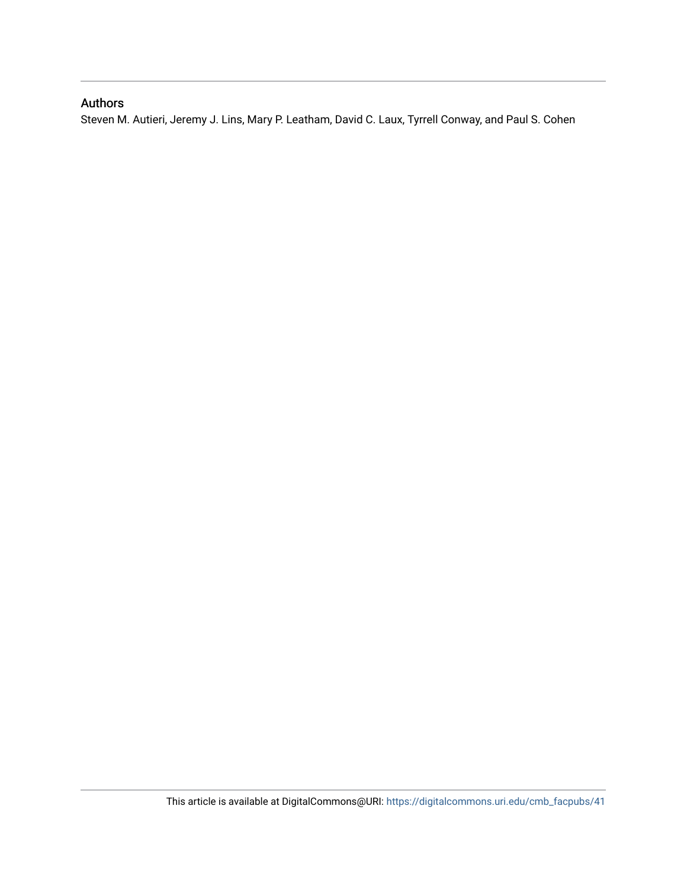### Authors

Steven M. Autieri, Jeremy J. Lins, Mary P. Leatham, David C. Laux, Tyrrell Conway, and Paul S. Cohen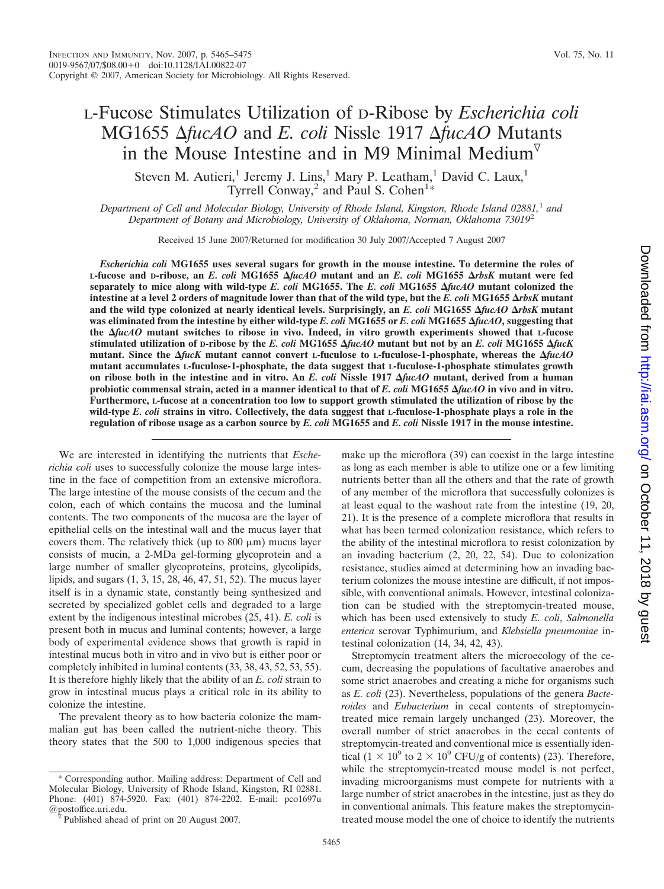## L-Fucose Stimulates Utilization of D-Ribose by *Escherichia coli* MG1655 Δ*fucAO* and *E. coli* Nissle 1917 Δ*fucAO* Mutants in the Mouse Intestine and in M9 Minimal Medium $\nabla$

Steven M. Autieri,<sup>1</sup> Jeremy J. Lins,<sup>1</sup> Mary P. Leatham,<sup>1</sup> David C. Laux,<sup>1</sup> Tyrrell Conway,<sup>2</sup> and Paul S. Cohen<sup>1\*</sup>

*Department of Cell and Molecular Biology, University of Rhode Island, Kingston, Rhode Island 02881,*<sup>1</sup> *and Department of Botany and Microbiology, University of Oklahoma, Norman, Oklahoma 73019*<sup>2</sup>

Received 15 June 2007/Returned for modification 30 July 2007/Accepted 7 August 2007

*Escherichia coli* **MG1655 uses several sugars for growth in the mouse intestine. To determine the roles of L-fucose and D-ribose, an** *E. coli* **MG1655** *fucAO* **mutant and an** *E. coli* **MG1655** *rbsK* **mutant were fed separately to mice along with wild-type** *E. coli* **MG1655. The** *E. coli* **MG1655** *fucAO* **mutant colonized the intestine at a level 2 orders of magnitude lower than that of the wild type, but the** *E. coli* **MG1655** *rbsK* **mutant and the wild type colonized at nearly identical levels. Surprisingly, an** *E. coli* **MG1655** *fucAO rbsK* **mutant was eliminated from the intestine by either wild-type** *E. coli* **MG1655 or** *E. coli* **MG1655** *fucAO***, suggesting that the** *fucAO* **mutant switches to ribose in vivo. Indeed, in vitro growth experiments showed that L-fucose stimulated utilization of D-ribose by the** *E. coli* **MG1655** *fucAO* **mutant but not by an** *E. coli* **MG1655** *fucK* **mutant. Since the** *fucK* **mutant cannot convert L-fuculose to L-fuculose-1-phosphate, whereas the** *fucAO* **mutant accumulates L-fuculose-1-phosphate, the data suggest that L-fuculose-1-phosphate stimulates growth on ribose both in the intestine and in vitro. An** *E. coli* **Nissle 1917** *fucAO* **mutant, derived from a human probiotic commensal strain, acted in a manner identical to that of** *E. coli* **MG1655** *fucAO* **in vivo and in vitro. Furthermore, L-fucose at a concentration too low to support growth stimulated the utilization of ribose by the wild-type** *E. coli* **strains in vitro. Collectively, the data suggest that L-fuculose-1-phosphate plays a role in the regulation of ribose usage as a carbon source by** *E. coli* **MG1655 and** *E. coli* **Nissle 1917 in the mouse intestine.**

We are interested in identifying the nutrients that *Escherichia coli* uses to successfully colonize the mouse large intestine in the face of competition from an extensive microflora. The large intestine of the mouse consists of the cecum and the colon, each of which contains the mucosa and the luminal contents. The two components of the mucosa are the layer of epithelial cells on the intestinal wall and the mucus layer that covers them. The relatively thick (up to  $800 \mu m$ ) mucus layer consists of mucin, a 2-MDa gel-forming glycoprotein and a large number of smaller glycoproteins, proteins, glycolipids, lipids, and sugars (1, 3, 15, 28, 46, 47, 51, 52). The mucus layer itself is in a dynamic state, constantly being synthesized and secreted by specialized goblet cells and degraded to a large extent by the indigenous intestinal microbes (25, 41). *E. coli* is present both in mucus and luminal contents; however, a large body of experimental evidence shows that growth is rapid in intestinal mucus both in vitro and in vivo but is either poor or completely inhibited in luminal contents (33, 38, 43, 52, 53, 55). It is therefore highly likely that the ability of an *E. coli* strain to grow in intestinal mucus plays a critical role in its ability to colonize the intestine.

The prevalent theory as to how bacteria colonize the mammalian gut has been called the nutrient-niche theory. This theory states that the 500 to 1,000 indigenous species that

\* Corresponding author. Mailing address: Department of Cell and Molecular Biology, University of Rhode Island, Kingston, RI 02881. Phone: (401) 874-5920. Fax: (401) 874-2202. E-mail: pco1697u

make up the microflora (39) can coexist in the large intestine as long as each member is able to utilize one or a few limiting nutrients better than all the others and that the rate of growth of any member of the microflora that successfully colonizes is at least equal to the washout rate from the intestine (19, 20, 21). It is the presence of a complete microflora that results in what has been termed colonization resistance, which refers to the ability of the intestinal microflora to resist colonization by an invading bacterium (2, 20, 22, 54). Due to colonization resistance, studies aimed at determining how an invading bacterium colonizes the mouse intestine are difficult, if not impossible, with conventional animals. However, intestinal colonization can be studied with the streptomycin-treated mouse, which has been used extensively to study *E. coli*, *Salmonella enterica* serovar Typhimurium, and *Klebsiella pneumoniae* intestinal colonization (14, 34, 42, 43).

Streptomycin treatment alters the microecology of the cecum, decreasing the populations of facultative anaerobes and some strict anaerobes and creating a niche for organisms such as *E. coli* (23). Nevertheless, populations of the genera *Bacteroides* and *Eubacterium* in cecal contents of streptomycintreated mice remain largely unchanged (23). Moreover, the overall number of strict anaerobes in the cecal contents of streptomycin-treated and conventional mice is essentially identical (1  $\times$  10<sup>9</sup> to 2  $\times$  10<sup>9</sup> CFU/g of contents) (23). Therefore, while the streptomycin-treated mouse model is not perfect, invading microorganisms must compete for nutrients with a large number of strict anaerobes in the intestine, just as they do in conventional animals. This feature makes the streptomycintreated mouse model the one of choice to identify the nutrients

Published ahead of print on 20 August 2007.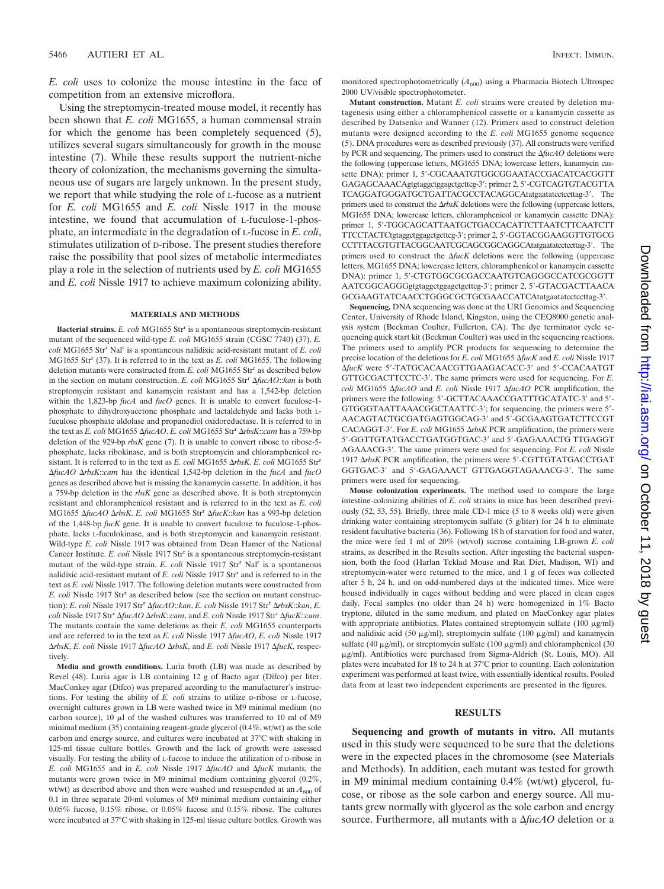*E. coli* uses to colonize the mouse intestine in the face of competition from an extensive microflora.

Using the streptomycin-treated mouse model, it recently has been shown that *E. coli* MG1655, a human commensal strain for which the genome has been completely sequenced (5), utilizes several sugars simultaneously for growth in the mouse intestine (7). While these results support the nutrient-niche theory of colonization, the mechanisms governing the simultaneous use of sugars are largely unknown. In the present study, we report that while studying the role of L-fucose as a nutrient for *E. coli* MG1655 and *E. coli* Nissle 1917 in the mouse intestine, we found that accumulation of L-fuculose-1-phosphate, an intermediate in the degradation of L-fucose in *E. coli*, stimulates utilization of D-ribose. The present studies therefore raise the possibility that pool sizes of metabolic intermediates play a role in the selection of nutrients used by *E. coli* MG1655 and *E. coli* Nissle 1917 to achieve maximum colonizing ability.

#### **MATERIALS AND METHODS**

**Bacterial strains.** *E. coli* MG1655 Str<sup>r</sup> is a spontaneous streptomycin-resistant mutant of the sequenced wild-type *E. coli* MG1655 strain (CGSC 7740) (37). *E. coli* MG1655 Str<sup>r</sup> Nal<sup>r</sup> is a spontaneous nalidixic acid-resistant mutant of *E. coli* MG1655 Str<sup>r</sup> (37). It is referred to in the text as *E. coli* MG1655. The following deletion mutants were constructed from *E. coli* MG1655 Str<sup>r</sup> as described below in the section on mutant construction. *E. coli* MG1655 Str<sup>r</sup> AfucAO::*kan* is both streptomycin resistant and kanamycin resistant and has a 1,542-bp deletion within the 1,823-bp *fucA* and *fucO* genes. It is unable to convert fuculose-1 phosphate to dihydroxyacetone phosphate and lactaldehyde and lacks both Lfuculose phosphate aldolase and propanediol oxidoreductase. It is referred to in the text as *E. coli* MG1655 Δ*fucAO. E. coli* MG1655 Str<sup>r</sup> Δrbs*K*::*cam* has a 759-bp deletion of the 929-bp *rbsK* gene (7). It is unable to convert ribose to ribose-5 phosphate, lacks ribokinase, and is both streptomycin and chloramphenicol resistant. It is referred to in the text as *E. coli* MG1655  $\Delta rbsK$ . *E. coli* MG1655 Str<sup>r</sup> -*fucAO* -*rbsK*::*cam* has the identical 1,542-bp deletion in the *fucA* and *fucO* genes as described above but is missing the kanamycin cassette. In addition, it has a 759-bp deletion in the *rbsK* gene as described above. It is both streptomycin resistant and chloramphenicol resistant and is referred to in the text as *E. coli* MG1655  $\Delta$ fucAO  $\Delta$ rbsK. *E. coli* MG1655 Str<sup>r</sup>  $\Delta$ fucK::*kan* has a 993-bp deletion of the 1,448-bp *fucK* gene. It is unable to convert fuculose to fuculose-1-phosphate, lacks L-fuculokinase, and is both streptomycin and kanamycin resistant. Wild-type *E. coli* Nissle 1917 was obtained from Dean Hamer of the National Cancer Institute. *E. coli* Nissle 1917 Str<sup>r</sup> is a spontaneous streptomycin-resistant mutant of the wild-type strain. *E. coli* Nissle 1917 Str<sup>r</sup> Nal<sup>r</sup> is a spontaneous nalidixic acid-resistant mutant of *E. coli* Nissle 1917 Str<sup>r</sup> and is referred to in the text as *E. coli* Nissle 1917. The following deletion mutants were constructed from *E. coli* Nissle 1917 Str<sup>r</sup> as described below (see the section on mutant construction): *E. coli* Nissle 1917 Str<sup>r</sup> -*fucAO*::*kan*, *E. coli* Nissle 1917 Str<sup>r</sup> -*rbsK*::*kan*, *E. coli* Nissle 1917 Str<sup>r</sup> -*fucAO* -*rbsK*::*cam*, and *E. coli* Nissle 1917 Str<sup>r</sup> -*fucK*::*cam*. The mutants contain the same deletions as their *E. coli* MG1655 counterparts and are referred to in the text as *E. coli* Nissle 1917  $\Delta$ *fucAO*, *E. coli* Nissle 1917 *ΔrbsK, E. coli* Nissle 1917 *ΔfucAO ΔrbsK*, and *E. coli* Nissle 1917 *ΔfucK*, respectively.

**Media and growth conditions.** Luria broth (LB) was made as described by Revel (48). Luria agar is LB containing 12 g of Bacto agar (Difco) per liter. MacConkey agar (Difco) was prepared according to the manufacturer's instructions. For testing the ability of *E. coli* strains to utilize D-ribose or L-fucose, overnight cultures grown in LB were washed twice in M9 minimal medium (no carbon source),  $10 \text{ }\mu\text{l}$  of the washed cultures was transferred to  $10 \text{ }\text{ml}$  of M9 minimal medium (35) containing reagent-grade glycerol (0.4%, wt/wt) as the sole carbon and energy source, and cultures were incubated at 37°C with shaking in 125-ml tissue culture bottles. Growth and the lack of growth were assessed visually. For testing the ability of L-fucose to induce the utilization of D-ribose in *E. coli* MG1655 and in *E. coli* Nissle 1917  $\Delta$ *fucAO* and  $\Delta$ *fucK* mutants, the mutants were grown twice in M9 minimal medium containing glycerol (0.2%, wt/wt) as described above and then were washed and resuspended at an  $A_{600}$  of 0.1 in three separate 20-ml volumes of M9 minimal medium containing either 0.05% fucose, 0.15% ribose, or 0.05% fucose and 0.15% ribose. The cultures were incubated at 37°C with shaking in 125-ml tissue culture bottles. Growth was monitored spectrophotometrically ( $A_{600}$ ) using a Pharmacia Biotech Ultrospec 2000 UV/visible spectrophotometer.

**Mutant construction.** Mutant *E. coli* strains were created by deletion mutagenesis using either a chloramphenicol cassette or a kanamycin cassette as described by Datsenko and Wanner (12). Primers used to construct deletion mutants were designed according to the *E. coli* MG1655 genome sequence (5). DNA procedures were as described previously (37). All constructs were verified by PCR and sequencing. The primers used to construct the  $\Delta f \mu c A O$  deletions were the following (uppercase letters, MG1655 DNA; lowercase letters, kanamycin cassette DNA): primer 1, 5'-CGCAAATGTGGCGGAATACCGACATCACGGTT GAGAGCAAACAgtgtaggctggagctgcttcg-3; primer 2, 5-CGTCAGTGTACGTTA TCAGGATGGGATGCTGATTACGCCTACAGGCAtatgaatatcctccttag-3'. The primers used to construct the  $\Delta r$ bsK deletions were the following (uppercase letters, MG1655 DNA; lowercase letters, chloramphenicol or kanamycin cassette DNA): primer 1, 5'-TGGCAGCATTAATGCTGACCACATTCTTAATCTTCAATCTT TTCCTACTCtgtaggctggagctgcttcg-3; primer 2, 5-GGTACGGAAGGTTGTGCG CCTTTACGTGTTACGGCAATCGCAGCGGCAGGCAtatgaatatcctccttag-3. The primers used to construct the  $\Delta f \mu cK$  deletions were the following (uppercase letters, MG1655 DNA; lowercase letters, chloramphenicol or kanamycin cassette DNA): primer 1, 5'-CTGTGGCGCGACCAATGTCAGGGCCATCGCGGTT AATCGGCAGGGgtgtaggctggagctgcttcg-3'; primer 2, 5'-GTACGACTTAACA GCGAAGTATCAACCTGGGCGCTGCGAACCATCAtatgaatatcctccttag-3'.

**Sequencing.** DNA sequencing was done at the URI Genomics and Sequencing Center, University of Rhode Island, Kingston, using the CEQ8000 genetic analysis system (Beckman Coulter, Fullerton, CA). The dye terminator cycle sequencing quick start kit (Beckman Coulter) was used in the sequencing reactions. The primers used to amplify PCR products for sequencing to determine the precise location of the deletions for *E. coli* MG1655  $\Delta fucK$  and *E. coli* Nissle 1917 -*fucK* were 5-TATGCACAACGTTGAAGACACC-3 and 5-CCACAATGT GTTGCGACTTCCTC-3. The same primers were used for sequencing. For *E. coli* MG1655  $\Delta$ *fucAO* and *E. coli* Nissle 1917  $\Delta$ *fucAO* PCR amplification, the primers were the following: 5'-GCTTACAAACCGATTTGCATATC-3' and 5'-GTGGGTAATTAAACGGCTAATTC-3; for sequencing, the primers were 5- AACAGTACTGCGATGAGTGGCAG-3' and 5'-GCGAAGTGATCTTCCGT CACAGGT-3'. For *E. coli* MG1655  $\Delta rbsK$  PCR amplification, the primers were 5'-GGTTGTATGACCTGATGGTGAC-3' and 5'-GAGAAACTG TTGAGGT AGAAACG-3. The same primers were used for sequencing. For *E. coli* Nissle 1917  $\Delta r$ bsK PCR amplification, the primers were 5'-CGTTGTATGACCTGAT GGTGAC-3' and 5'-GAGAAACT GTTGAGGTAGAAACG-3'. The same primers were used for sequencing.

**Mouse colonization experiments.** The method used to compare the large intestine-colonizing abilities of *E*. *coli* strains in mice has been described previously (52, 53, 55). Briefly, three male CD-1 mice (5 to 8 weeks old) were given drinking water containing streptomycin sulfate (5 g/liter) for 24 h to eliminate resident facultative bacteria (36). Following 18 h of starvation for food and water, the mice were fed 1 ml of 20% (wt/vol) sucrose containing LB-grown *E. coli* strains, as described in the Results section. After ingesting the bacterial suspension, both the food (Harlan Teklad Mouse and Rat Diet, Madison, WI) and streptomycin-water were returned to the mice, and 1 g of feces was collected after 5 h, 24 h, and on odd-numbered days at the indicated times. Mice were housed individually in cages without bedding and were placed in clean cages daily. Fecal samples (no older than 24 h) were homogenized in 1% Bacto tryptone, diluted in the same medium, and plated on MacConkey agar plates with appropriate antibiotics. Plates contained streptomycin sulfate (100  $\mu$ g/ml) and nalidixic acid (50  $\mu$ g/ml), streptomycin sulfate (100  $\mu$ g/ml) and kanamycin sulfate (40  $\mu$ g/ml), or streptomycin sulfate (100  $\mu$ g/ml) and chloramphenicol (30 g/ml). Antibiotics were purchased from Sigma-Aldrich (St. Louis, MO). All plates were incubated for 18 to 24 h at 37°C prior to counting. Each colonization experiment was performed at least twice, with essentially identical results. Pooled data from at least two independent experiments are presented in the figures.

#### **RESULTS**

**Sequencing and growth of mutants in vitro.** All mutants used in this study were sequenced to be sure that the deletions were in the expected places in the chromosome (see Materials and Methods). In addition, each mutant was tested for growth in M9 minimal medium containing 0.4% (wt/wt) glycerol, fucose, or ribose as the sole carbon and energy source. All mutants grew normally with glycerol as the sole carbon and energy source. Furthermore, all mutants with a  $\Delta$ *fucAO* deletion or a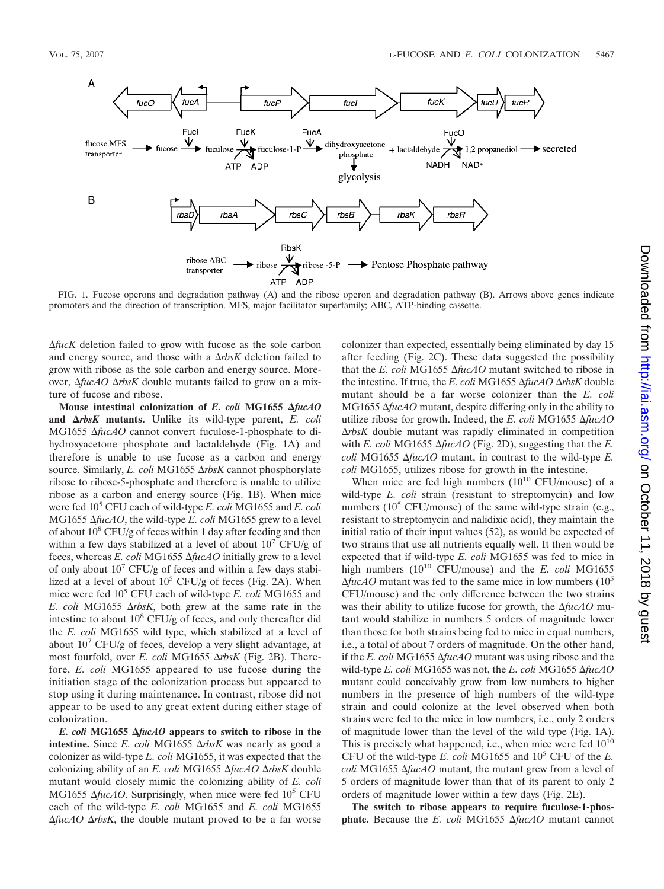

FIG. 1. Fucose operons and degradation pathway (A) and the ribose operon and degradation pathway (B). Arrows above genes indicate promoters and the direction of transcription. MFS, major facilitator superfamily; ABC, ATP-binding cassette.

-*fucK* deletion failed to grow with fucose as the sole carbon and energy source, and those with a  $\Delta rbsK$  deletion failed to grow with ribose as the sole carbon and energy source. Moreover, Δ*fucAO* ΔrbsK double mutants failed to grow on a mixture of fucose and ribose.

Mouse intestinal colonization of *E. coli* MG1655  $\Delta$ fucAO and  $\Delta r$ *bsK* mutants. Unlike its wild-type parent, *E. coli* MG1655  $\Delta$ fucAO cannot convert fuculose-1-phosphate to dihydroxyacetone phosphate and lactaldehyde (Fig. 1A) and therefore is unable to use fucose as a carbon and energy source. Similarly, *E. coli* MG1655 Δrbs*K* cannot phosphorylate ribose to ribose-5-phosphate and therefore is unable to utilize ribose as a carbon and energy source (Fig. 1B). When mice were fed 105 CFU each of wild-type *E. coli* MG1655 and *E. coli* MG1655  $\Delta$ *fucAO*, the wild-type *E. coli* MG1655 grew to a level of about  $10^8$  CFU/g of feces within 1 day after feeding and then within a few days stabilized at a level of about  $10<sup>7</sup>$  CFU/g of feces, whereas *E. coli* MG1655 Δ*fucAO* initially grew to a level of only about  $10<sup>7</sup>$  CFU/g of feces and within a few days stabilized at a level of about  $10^5$  CFU/g of feces (Fig. 2A). When mice were fed 10<sup>5</sup> CFU each of wild-type *E. coli* MG1655 and *E. coli* MG1655  $\Delta r$ *bsK*, both grew at the same rate in the intestine to about  $10^8$  CFU/g of feces, and only thereafter did the *E. coli* MG1655 wild type, which stabilized at a level of about  $10^7$  CFU/g of feces, develop a very slight advantage, at most fourfold, over *E. coli* MG1655  $\Delta r$ *bsK* (Fig. 2B). Therefore, *E. coli* MG1655 appeared to use fucose during the initiation stage of the colonization process but appeared to stop using it during maintenance. In contrast, ribose did not appear to be used to any great extent during either stage of colonization.

*E. coli* **MG1655** *fucAO* **appears to switch to ribose in the intestine.** Since *E. coli* MG1655  $\Delta r$ *bsK* was nearly as good a colonizer as wild-type *E. coli* MG1655, it was expected that the colonizing ability of an *E. coli* MG1655 Δ*fucAO* ΔrbsK double mutant would closely mimic the colonizing ability of *E. coli* MG1655  $\Delta$ fucAO. Surprisingly, when mice were fed 10<sup>5</sup> CFU each of the wild-type *E. coli* MG1655 and *E. coli* MG1655  $\Delta$ *fucAO*  $\Delta$ *rbsK*, the double mutant proved to be a far worse colonizer than expected, essentially being eliminated by day 15 after feeding (Fig. 2C). These data suggested the possibility that the *E. coli* MG1655  $\Delta$ *fucAO* mutant switched to ribose in the intestine. If true, the *E. coli* MG1655 Δ*fucAO* Δrbs*K* double mutant should be a far worse colonizer than the *E. coli* MG1655  $\Delta$ *fucAO* mutant, despite differing only in the ability to utilize ribose for growth. Indeed, the *E. coli* MG1655  $\Delta$ *fucAO*  $\Delta r$ bsK double mutant was rapidly eliminated in competition with *E. coli* MG1655  $\Delta$ *fucAO* (Fig. 2D), suggesting that the *E*.  $\alpha$ *coli* MG1655  $\Delta$ *fucAO* mutant, in contrast to the wild-type *E*. *coli* MG1655, utilizes ribose for growth in the intestine.

When mice are fed high numbers  $(10^{10} \text{ CFU/mouse})$  of a wild-type *E. coli* strain (resistant to streptomycin) and low numbers ( $10^5$  CFU/mouse) of the same wild-type strain (e.g., resistant to streptomycin and nalidixic acid), they maintain the initial ratio of their input values (52), as would be expected of two strains that use all nutrients equally well. It then would be expected that if wild-type *E. coli* MG1655 was fed to mice in high numbers (10<sup>10</sup> CFU/mouse) and the *E. coli* MG1655  $\Delta fucAO$  mutant was fed to the same mice in low numbers ( $10^5$ ) CFU/mouse) and the only difference between the two strains was their ability to utilize fucose for growth, the  $\Delta f \mu c A O$  mutant would stabilize in numbers 5 orders of magnitude lower than those for both strains being fed to mice in equal numbers, i.e., a total of about 7 orders of magnitude. On the other hand, if the *E. coli* MG1655  $\Delta$ *fucAO* mutant was using ribose and the wild-type *E. coli* MG1655 was not, the *E. coli* MG1655  $\Delta \text{fuc}$ AO mutant could conceivably grow from low numbers to higher numbers in the presence of high numbers of the wild-type strain and could colonize at the level observed when both strains were fed to the mice in low numbers, i.e., only 2 orders of magnitude lower than the level of the wild type (Fig. 1A). This is precisely what happened, i.e., when mice were fed  $10^{10}$ CFU of the wild-type  $E$ . coli MG1655 and  $10^5$  CFU of the  $E$ . *coli* MG1655  $\Delta$ *fucAO* mutant, the mutant grew from a level of 5 orders of magnitude lower than that of its parent to only 2 orders of magnitude lower within a few days (Fig. 2E).

**The switch to ribose appears to require fuculose-1-phosphate.** Because the *E. coli* MG1655  $\Delta$ *fucAO* mutant cannot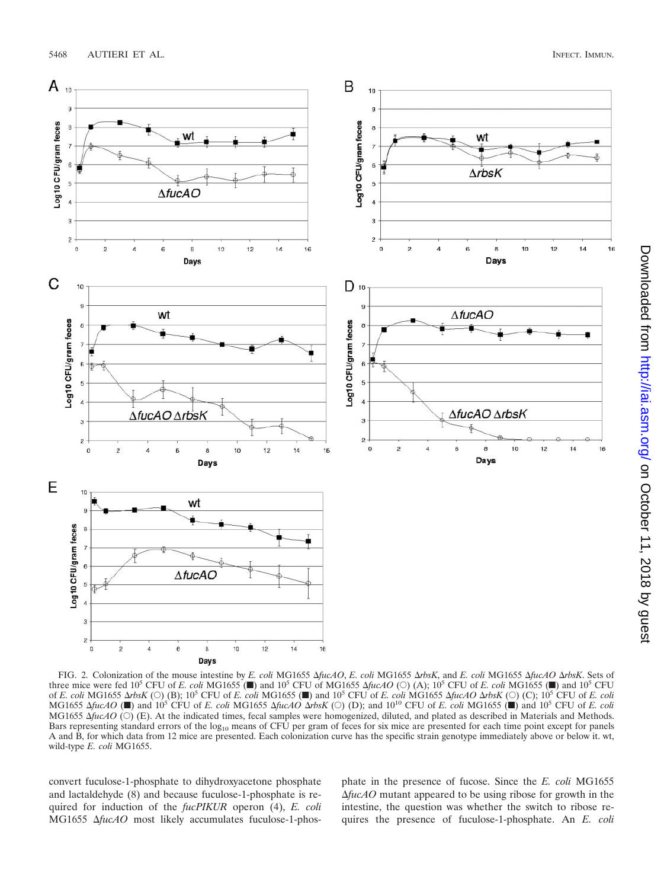

FIG. 2. Colonization of the mouse intestine by *E. coli* MG1655  $\Delta fucAO$ , *E. coli* MG1655  $\Delta rbsK$ , and *E. coli* MG1655  $\Delta fucAO$   $\Delta rbsK$ . Sets of three mice were fed 10<sup>5</sup> CFU of *E. coli* MG1655  $(\blacksquare)$  and 10<sup>5</sup> CFU of MG1655  $\Delta$ *fucAO* (O) (A); 10<sup>5</sup> CFU of *E. coli* MG1655 ( $\blacksquare$ ) and 10<sup>5</sup> CFU of *E. coli* MG1655  $\Delta rbsK$  (O) (B); 10<sup>5</sup> CFU of *E. coli* MG1655 ( $\blacksquare$ ) and 10<sup>5</sup> CFU of *E. coli* MG1655  $\Delta fucAO \Delta rbsK$  (O) (C); 10<sup>5</sup> CFU of *E. coli*  $MG1655 \Delta \text{fuc}$  *AO* ( $\blacksquare$ ) and  $10^5$  CFU of *E. coli* MG1655  $\Delta \text{fuc}$  *ArbsK* ( $\bigcirc$ ) (D); and  $10^{10}$  CFU of *E. coli* MG1655 ( $\blacksquare$ ) and  $10^5$  CFU of *E. coli*  $MG1655 \Delta \hat{f} \mu cAO$  (O) (E). At the indicated times, fecal samples were homogenized, diluted, and plated as described in Materials and Methods. Bars representing standard errors of the log<sub>10</sub> means of CFU per gram of feces for six mice are presented for each time point except for panels A and B, for which data from 12 mice are presented. Each colonization curve has the specific strain genotype immediately above or below it. wt, wild-type *E. coli* MG1655.

convert fuculose-1-phosphate to dihydroxyacetone phosphate and lactaldehyde (8) and because fuculose-1-phosphate is required for induction of the *fucPIKUR* operon (4), *E. coli* MG1655  $\Delta$ fucAO most likely accumulates fuculose-1-phosphate in the presence of fucose. Since the *E. coli* MG1655 -*fucAO* mutant appeared to be using ribose for growth in the intestine, the question was whether the switch to ribose requires the presence of fuculose-1-phosphate. An *E. coli*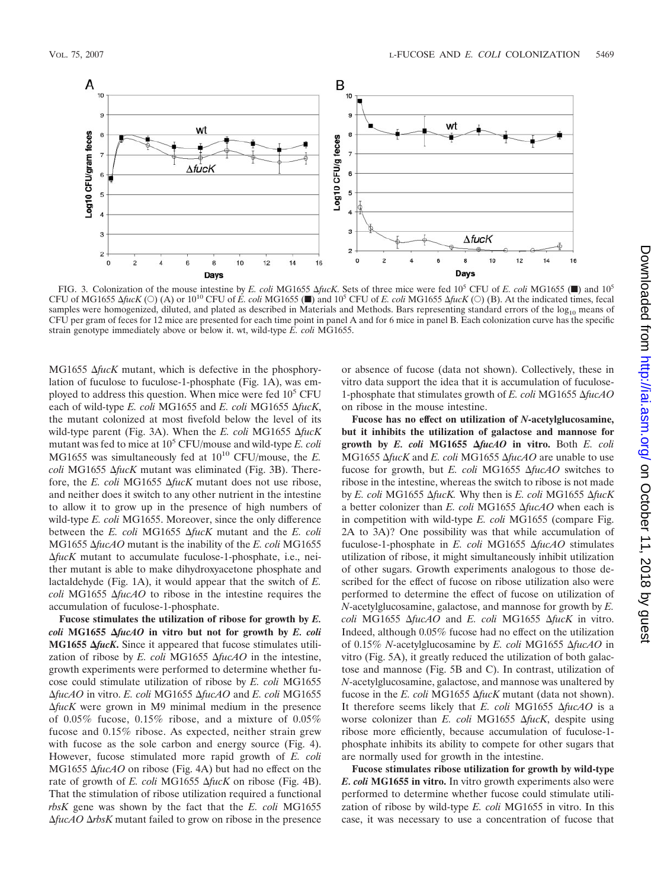

FIG. 3. Colonization of the mouse intestine by *E. coli* MG1655  $\Delta fucK$ . Sets of three mice were fed 10<sup>5</sup> CFU of *E. coli* MG1655 ( $\blacksquare$ ) and 10<sup>5</sup> CFU of MG1655  $\Delta$ fucK (O) (A) or  $10^{10}$  CFU of *E. coli* MG1655 ( $\blacksquare$ ) and  $10^5$  CFU of *E. coli* MG1655  $\Delta$ fucK (O) (B). At the indicated times, fecal samples were homogenized, diluted, and plated as described in Materials and Methods. Bars representing standard errors of the log<sub>10</sub> means of CFU per gram of feces for 12 mice are presented for each time point in panel A and for 6 mice in panel B. Each colonization curve has the specific strain genotype immediately above or below it. wt, wild-type *E. coli* MG1655.

MG1655  $\Delta$ *fucK* mutant, which is defective in the phosphorylation of fuculose to fuculose-1-phosphate (Fig. 1A), was employed to address this question. When mice were fed 10<sup>5</sup> CFU each of wild-type *E. coli* MG1655 and *E. coli* MG1655  $\Delta$ fucK, the mutant colonized at most fivefold below the level of its wild-type parent (Fig. 3A). When the *E. coli* MG1655  $\Delta$ fucK mutant was fed to mice at 10<sup>5</sup> CFU/mouse and wild-type *E. coli* MG1655 was simultaneously fed at  $10^{10}$  CFU/mouse, the *E*. *coli* MG1655  $\Delta$ *fucK* mutant was eliminated (Fig. 3B). Therefore, the *E. coli* MG1655  $\Delta$ *fucK* mutant does not use ribose, and neither does it switch to any other nutrient in the intestine to allow it to grow up in the presence of high numbers of wild-type *E. coli* MG1655. Moreover, since the only difference between the *E. coli* MG1655 Δ*fucK* mutant and the *E. coli* MG1655  $\Delta$ *fucAO* mutant is the inability of the *E. coli* MG1655 -*fucK* mutant to accumulate fuculose-1-phosphate, i.e., neither mutant is able to make dihydroxyacetone phosphate and lactaldehyde (Fig. 1A), it would appear that the switch of *E. coli* MG1655  $\Delta$ *fucAO* to ribose in the intestine requires the accumulation of fuculose-1-phosphate.

**Fucose stimulates the utilization of ribose for growth by** *E.*  $\text{coll } \text{MG}1655 \text{ } \Delta \text{fuc}4O$  in vitro but not for growth by *E. coli* **MG1655**  $\Delta$ fucK. Since it appeared that fucose stimulates utilization of ribose by *E. coli* MG1655  $\Delta$ *fucAO* in the intestine, growth experiments were performed to determine whether fucose could stimulate utilization of ribose by *E. coli* MG1655  $\Delta$ *fucAO* in vitro. *E. coli* MG1655  $\Delta$ *fucAO* and *E. coli* MG1655  $\Delta$ *fucK* were grown in M9 minimal medium in the presence of 0.05% fucose, 0.15% ribose, and a mixture of 0.05% fucose and 0.15% ribose. As expected, neither strain grew with fucose as the sole carbon and energy source (Fig. 4). However, fucose stimulated more rapid growth of *E. coli* MG1655  $\Delta$ fucAO on ribose (Fig. 4A) but had no effect on the rate of growth of *E. coli* MG1655  $\Delta$ *fucK* on ribose (Fig. 4B). That the stimulation of ribose utilization required a functional *rbsK* gene was shown by the fact that the *E. coli* MG1655 Δ*fucAO* ΔrbsK mutant failed to grow on ribose in the presence

or absence of fucose (data not shown). Collectively, these in vitro data support the idea that it is accumulation of fuculose-1-phosphate that stimulates growth of *E. coli* MG1655  $\Delta$ fucAO on ribose in the mouse intestine.

**Fucose has no effect on utilization of** *N***-acetylglucosamine, but it inhibits the utilization of galactose and mannose for growth by** *E. coli* **MG1655** *fucAO* **in vitro.** Both *E. coli* MG1655  $\Delta$ *fucK* and *E. coli* MG1655  $\Delta$ *fucAO* are unable to use fucose for growth, but *E. coli* MG1655  $\Delta$ *fucAO* switches to ribose in the intestine, whereas the switch to ribose is not made by *E. coli* MG1655  $\Delta$ *fucK.* Why then is *E. coli* MG1655  $\Delta$ *fucK* a better colonizer than *E. coli* MG1655  $\Delta$ *fucAO* when each is in competition with wild-type *E. coli* MG1655 (compare Fig. 2A to 3A)? One possibility was that while accumulation of fuculose-1-phosphate in *E. coli* MG1655 Δ*fucAO* stimulates utilization of ribose, it might simultaneously inhibit utilization of other sugars. Growth experiments analogous to those described for the effect of fucose on ribose utilization also were performed to determine the effect of fucose on utilization of *N*-acetylglucosamine, galactose, and mannose for growth by *E. coli* MG1655 Δ*fucAO* and *E. coli* MG1655 Δ*fucK* in vitro. Indeed, although 0.05% fucose had no effect on the utilization of 0.15% *N*-acetylglucosamine by *E. coli* MG1655  $\Delta$ fucAO in vitro (Fig. 5A), it greatly reduced the utilization of both galactose and mannose (Fig. 5B and C). In contrast, utilization of *N*-acetylglucosamine, galactose, and mannose was unaltered by fucose in the *E. coli* MG1655  $\Delta$ *fucK* mutant (data not shown). It therefore seems likely that *E. coli* MG1655 Δ*fucAO* is a worse colonizer than *E. coli* MG1655  $\Delta$ *fucK*, despite using ribose more efficiently, because accumulation of fuculose-1 phosphate inhibits its ability to compete for other sugars that are normally used for growth in the intestine.

**Fucose stimulates ribose utilization for growth by wild-type** *E. coli* **MG1655 in vitro.** In vitro growth experiments also were performed to determine whether fucose could stimulate utilization of ribose by wild-type *E. coli* MG1655 in vitro. In this case, it was necessary to use a concentration of fucose that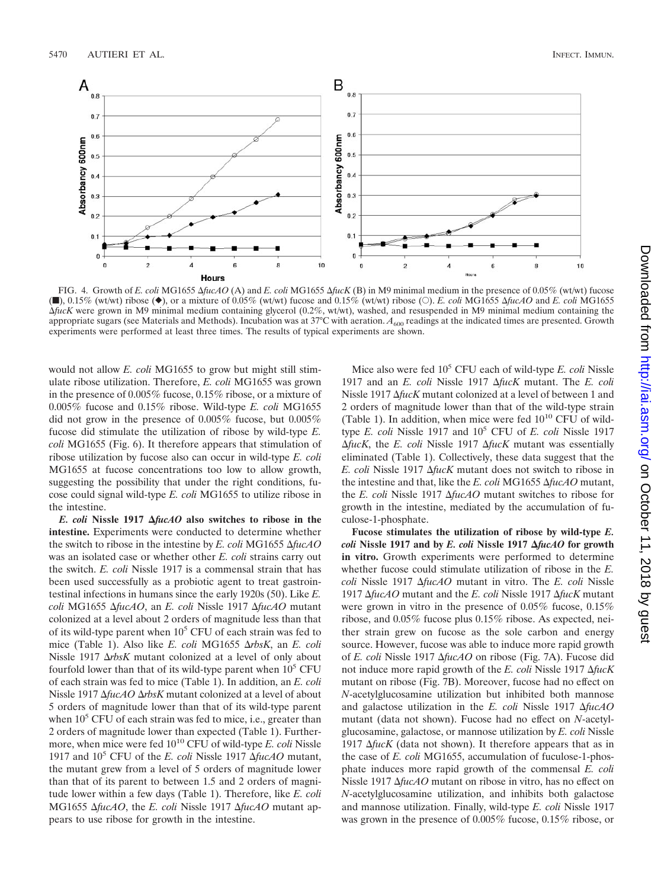

FIG. 4. Growth of *E. coli* MG1655  $\Delta \text{fuc}$ *AO* (A) and *E. coli* MG1655  $\Delta \text{fuc}$ *K* (B) in M9 minimal medium in the presence of 0.05% (wt/wt) fucose  $(m)$ , 0.15% (wt/wt) ribose  $(\bullet)$ , or a mixture of 0.05% (wt/wt) fucose and 0.15% (wt/wt) ribose (O). *E. coli* MG1655  $\Delta \text{fuc}$  and *E. coli* MG1655 -*fucK* were grown in M9 minimal medium containing glycerol (0.2%, wt/wt), washed, and resuspended in M9 minimal medium containing the appropriate sugars (see Materials and Methods). Incubation was at 37°C with aeration.  $A_{600}$  readings at the indicated times are presented. Growth experiments were performed at least three times. The results of typical experiments are shown.

would not allow *E. coli* MG1655 to grow but might still stimulate ribose utilization. Therefore, *E. coli* MG1655 was grown in the presence of 0.005% fucose, 0.15% ribose, or a mixture of 0.005% fucose and 0.15% ribose. Wild-type *E. coli* MG1655 did not grow in the presence of 0.005% fucose, but 0.005% fucose did stimulate the utilization of ribose by wild-type *E. coli* MG1655 (Fig. 6). It therefore appears that stimulation of ribose utilization by fucose also can occur in wild-type *E. coli* MG1655 at fucose concentrations too low to allow growth, suggesting the possibility that under the right conditions, fucose could signal wild-type *E. coli* MG1655 to utilize ribose in the intestine.

*E. coli* **Nissle 1917** *fucAO* **also switches to ribose in the intestine.** Experiments were conducted to determine whether the switch to ribose in the intestine by *E. coli* MG1655 Δ*fucAO* was an isolated case or whether other *E. coli* strains carry out the switch. *E. coli* Nissle 1917 is a commensal strain that has been used successfully as a probiotic agent to treat gastrointestinal infections in humans since the early 1920s (50). Like *E. coli* MG1655  $\Delta$ *fucAO*, an *E. coli* Nissle 1917  $\Delta$ *fucAO* mutant colonized at a level about 2 orders of magnitude less than that of its wild-type parent when  $10<sup>5</sup>$  CFU of each strain was fed to mice (Table 1). Also like *E. coli* MG1655 Δrbs*K*, an *E. coli* Nissle 1917  $\Delta r$ bsK mutant colonized at a level of only about fourfold lower than that of its wild-type parent when  $10<sup>5</sup>$  CFU of each strain was fed to mice (Table 1). In addition, an *E. coli* Nissle 1917  $\Delta$ *fucAO*  $\Delta$ *rbsK* mutant colonized at a level of about 5 orders of magnitude lower than that of its wild-type parent when  $10<sup>5</sup>$  CFU of each strain was fed to mice, i.e., greater than 2 orders of magnitude lower than expected (Table 1). Furthermore, when mice were fed 10<sup>10</sup> CFU of wild-type *E. coli* Nissle 1917 and  $10^5$  CFU of the *E. coli* Nissle 1917  $\Delta$ *fucAO* mutant, the mutant grew from a level of 5 orders of magnitude lower than that of its parent to between 1.5 and 2 orders of magnitude lower within a few days (Table 1). Therefore, like *E. coli* MG1655  $\Delta$ *fucAO*, the *E. coli* Nissle 1917  $\Delta$ *fucAO* mutant appears to use ribose for growth in the intestine.

Mice also were fed 10<sup>5</sup> CFU each of wild-type *E. coli* Nissle 1917 and an *E. coli* Nissle 1917  $\Delta$ *fucK* mutant. The *E. coli* Nissle 1917  $\Delta$ *fucK* mutant colonized at a level of between 1 and 2 orders of magnitude lower than that of the wild-type strain (Table 1). In addition, when mice were fed  $10^{10}$  CFU of wildtype *E. coli* Nissle 1917 and 105 CFU of *E. coli* Nissle 1917 Δ*fucK*, the *E. coli* Nissle 1917 Δ*fucK* mutant was essentially eliminated (Table 1). Collectively, these data suggest that the *E. coli* Nissle 1917  $\Delta$ *fucK* mutant does not switch to ribose in the intestine and that, like the *E. coli* MG1655  $\Delta$ *fucAO* mutant, the *E. coli* Nissle 1917 Δ*fucAO* mutant switches to ribose for growth in the intestine, mediated by the accumulation of fuculose-1-phosphate.

**Fucose stimulates the utilization of ribose by wild-type** *E. coli* **Nissle 1917 and by** *E. coli* **Nissle 1917** *fucAO* **for growth in vitro.** Growth experiments were performed to determine whether fucose could stimulate utilization of ribose in the *E. coli* Nissle 1917 Δ*fucAO* mutant in vitro. The *E. coli* Nissle 1917  $\Delta$ *fucAO* mutant and the *E. coli* Nissle 1917  $\Delta$ *fucK* mutant were grown in vitro in the presence of 0.05% fucose, 0.15% ribose, and 0.05% fucose plus 0.15% ribose. As expected, neither strain grew on fucose as the sole carbon and energy source. However, fucose was able to induce more rapid growth of *E. coli* Nissle 1917  $\Delta$ *fucAO* on ribose (Fig. 7A). Fucose did not induce more rapid growth of the *E. coli* Nissle 1917  $\Delta$ *fucK* mutant on ribose (Fig. 7B). Moreover, fucose had no effect on *N*-acetylglucosamine utilization but inhibited both mannose and galactose utilization in the *E. coli* Nissle 1917  $\Delta$ *fucAO* mutant (data not shown). Fucose had no effect on *N*-acetylglucosamine, galactose, or mannose utilization by *E. coli* Nissle 1917  $\Delta$ *fucK* (data not shown). It therefore appears that as in the case of *E. coli* MG1655, accumulation of fuculose-1-phosphate induces more rapid growth of the commensal *E. coli* Nissle 1917  $\Delta$ *fucAO* mutant on ribose in vitro, has no effect on *N*-acetylglucosamine utilization, and inhibits both galactose and mannose utilization. Finally, wild-type *E. coli* Nissle 1917 was grown in the presence of 0.005% fucose, 0.15% ribose, or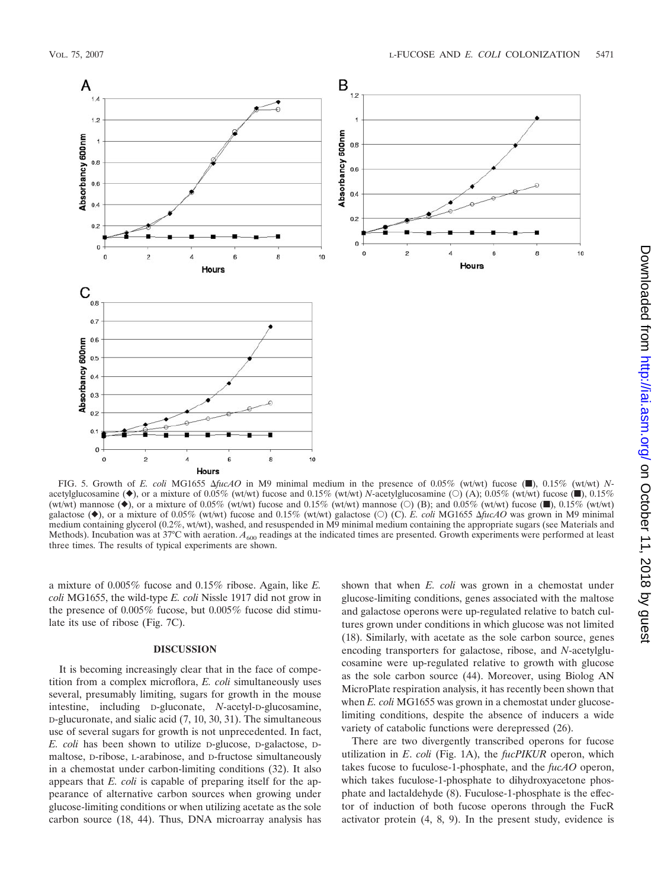

FIG. 5. Growth of *E. coli* MG1655  $\Delta fucAO$  in M9 minimal medium in the presence of 0.05% (wt/wt) fucose ( $\blacksquare$ ), 0.15% (wt/wt) *N*acetylglucosamine  $(\blacklozenge)$ , or a mixture of 0.05% (wt/wt) fucose and 0.15% (wt/wt) *N*-acetylglucosamine ( $\bigcirc$ ) (A); 0.05% (wt/wt) fucose ( $\blacksquare$ ), 0.15% (wt/wt) mannose ( $\bullet$ ), or a mixture of 0.05% (wt/wt) fucose and 0.15% (wt/wt) mannose (O) (B); and 0.05% (wt/wt) fucose ( $\blacksquare$ ), 0.15% (wt/wt) galactose ( $\blacklozenge$ ), or a mixture of 0.05% (wt/wt) fucose and 0.15% (wt/wt) galactose (O) (C). *E. coli* MG1655  $\Delta \hat{f} \iota c \Delta \hat{O}$  was grown in M9 minimal medium containing glycerol (0.2%, wt/wt), washed, and resuspended in M9 minimal medium containing the appropriate sugars (see Materials and Methods). Incubation was at 37°C with aeration.  $A_{600}$  readings at the indicated times are presented. Growth experiments were performed at least three times. The results of typical experiments are shown.

a mixture of 0.005% fucose and 0.15% ribose. Again, like *E. coli* MG1655, the wild-type *E. coli* Nissle 1917 did not grow in the presence of 0.005% fucose, but 0.005% fucose did stimulate its use of ribose (Fig. 7C).

#### **DISCUSSION**

It is becoming increasingly clear that in the face of competition from a complex microflora, *E. coli* simultaneously uses several, presumably limiting, sugars for growth in the mouse intestine, including D-gluconate, *N*-acetyl-D-glucosamine, D-glucuronate, and sialic acid (7, 10, 30, 31). The simultaneous use of several sugars for growth is not unprecedented. In fact, *E. coli* has been shown to utilize D-glucose, D-galactose, Dmaltose, D-ribose, L-arabinose, and D-fructose simultaneously in a chemostat under carbon-limiting conditions (32). It also appears that *E. coli* is capable of preparing itself for the appearance of alternative carbon sources when growing under glucose-limiting conditions or when utilizing acetate as the sole carbon source (18, 44). Thus, DNA microarray analysis has shown that when *E. coli* was grown in a chemostat under glucose-limiting conditions, genes associated with the maltose and galactose operons were up-regulated relative to batch cultures grown under conditions in which glucose was not limited (18). Similarly, with acetate as the sole carbon source, genes encoding transporters for galactose, ribose, and *N*-acetylglucosamine were up-regulated relative to growth with glucose as the sole carbon source (44). Moreover, using Biolog AN MicroPlate respiration analysis, it has recently been shown that when *E. coli* MG1655 was grown in a chemostat under glucoselimiting conditions, despite the absence of inducers a wide variety of catabolic functions were derepressed (26).

There are two divergently transcribed operons for fucose utilization in *E*. *coli* (Fig. 1A), the *fucPIKUR* operon, which takes fucose to fuculose-1-phosphate, and the *fucAO* operon, which takes fuculose-1-phosphate to dihydroxyacetone phosphate and lactaldehyde (8). Fuculose-1-phosphate is the effector of induction of both fucose operons through the FucR activator protein (4, 8, 9). In the present study, evidence is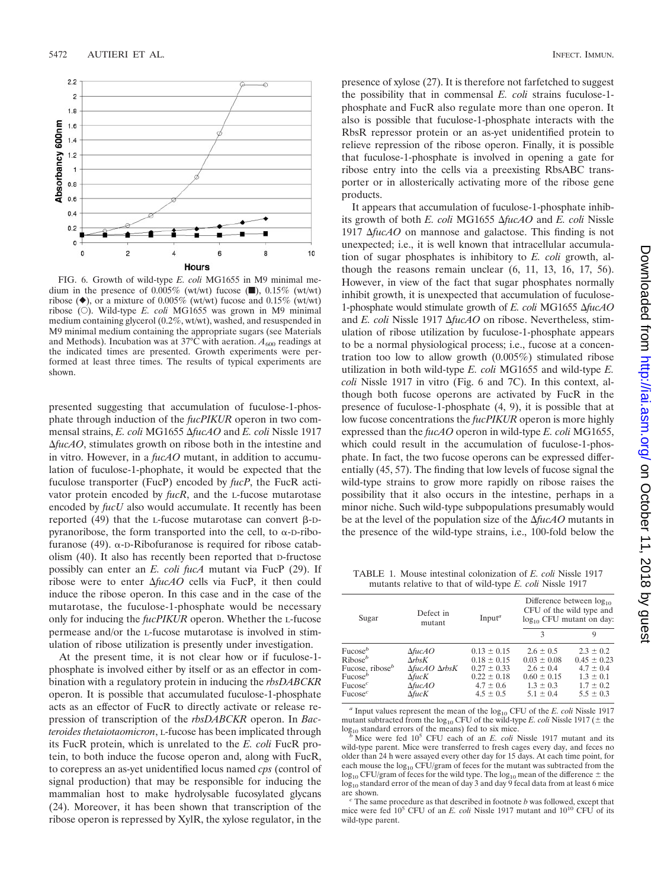

FIG. 6. Growth of wild-type *E. coli* MG1655 in M9 minimal medium in the presence of  $0.005\%$  (wt/wt) fucose ( $\blacksquare$ ),  $0.15\%$  (wt/wt) ribose  $(\blacklozenge)$ , or a mixture of 0.005% (wt/wt) fucose and 0.15% (wt/wt) ribose  $(O)$ . Wild-type *E. coli* MG1655 was grown in M9 minimal medium containing glycerol (0.2%, wt/wt), washed, and resuspended in M9 minimal medium containing the appropriate sugars (see Materials and Methods). Incubation was at 37°C with aeration.  $A_{600}$  readings at the indicated times are presented. Growth experiments were performed at least three times. The results of typical experiments are shown.

presented suggesting that accumulation of fuculose-1-phosphate through induction of the *fucPIKUR* operon in two commensal strains, *E. coli* MG1655 Δ*fucAO* and *E. coli* Nissle 1917  $\Delta$ *fucAO*, stimulates growth on ribose both in the intestine and in vitro. However, in a *fucAO* mutant, in addition to accumulation of fuculose-1-phophate, it would be expected that the fuculose transporter (FucP) encoded by *fucP*, the FucR activator protein encoded by *fucR*, and the L-fucose mutarotase encoded by *fucU* also would accumulate. It recently has been reported (49) that the L-fucose mutarotase can convert  $\beta$ -Dpyranoribose, the form transported into the cell, to  $\alpha$ -D-ribofuranose (49).  $\alpha$ -D-Ribofuranose is required for ribose catabolism (40). It also has recently been reported that D-fructose possibly can enter an *E. coli fucA* mutant via FucP (29). If ribose were to enter  $\Delta f \mu c A O$  cells via FucP, it then could induce the ribose operon. In this case and in the case of the mutarotase, the fuculose-1-phosphate would be necessary only for inducing the *fucPIKUR* operon. Whether the L-fucose permease and/or the L-fucose mutarotase is involved in stimulation of ribose utilization is presently under investigation.

At the present time, it is not clear how or if fuculose-1 phosphate is involved either by itself or as an effector in combination with a regulatory protein in inducing the *rbsDABCKR* operon. It is possible that accumulated fuculose-1-phosphate acts as an effector of FucR to directly activate or release repression of transcription of the *rbsDABCKR* operon. In *Bacteroides thetaiotaomicron*, L-fucose has been implicated through its FucR protein, which is unrelated to the *E. coli* FucR protein, to both induce the fucose operon and, along with FucR, to corepress an as-yet unidentified locus named *cps* (control of signal production) that may be responsible for inducing the mammalian host to make hydrolysable fucosylated glycans (24). Moreover, it has been shown that transcription of the ribose operon is repressed by XylR, the xylose regulator, in the

presence of xylose (27). It is therefore not farfetched to suggest the possibility that in commensal *E. coli* strains fuculose-1 phosphate and FucR also regulate more than one operon. It also is possible that fuculose-1-phosphate interacts with the RbsR repressor protein or an as-yet unidentified protein to relieve repression of the ribose operon. Finally, it is possible that fuculose-1-phosphate is involved in opening a gate for ribose entry into the cells via a preexisting RbsABC transporter or in allosterically activating more of the ribose gene products.

It appears that accumulation of fuculose-1-phosphate inhibits growth of both *E. coli* MG1655  $\Delta$ *fucAO* and *E. coli* Nissle 1917  $\Delta$ *fucAO* on mannose and galactose. This finding is not unexpected; i.e., it is well known that intracellular accumulation of sugar phosphates is inhibitory to *E. coli* growth, although the reasons remain unclear (6, 11, 13, 16, 17, 56). However, in view of the fact that sugar phosphates normally inhibit growth, it is unexpected that accumulation of fuculose-1-phosphate would stimulate growth of *E. coli* MG1655  $\Delta$ fucAO and *E. coli* Nissle 1917  $\Delta$ *fucAO* on ribose. Nevertheless, stimulation of ribose utilization by fuculose-1-phosphate appears to be a normal physiological process; i.e., fucose at a concentration too low to allow growth (0.005%) stimulated ribose utilization in both wild-type *E. coli* MG1655 and wild-type *E. coli* Nissle 1917 in vitro (Fig. 6 and 7C). In this context, although both fucose operons are activated by FucR in the presence of fuculose-1-phosphate (4, 9), it is possible that at low fucose concentrations the *fucPIKUR* operon is more highly expressed than the *fucAO* operon in wild-type *E. coli* MG1655, which could result in the accumulation of fuculose-1-phosphate. In fact, the two fucose operons can be expressed differentially (45, 57). The finding that low levels of fucose signal the wild-type strains to grow more rapidly on ribose raises the possibility that it also occurs in the intestine, perhaps in a minor niche. Such wild-type subpopulations presumably would be at the level of the population size of the Δ*fucAO* mutants in the presence of the wild-type strains, i.e., 100-fold below the

TABLE 1. Mouse intestinal colonization of *E. coli* Nissle 1917 mutants relative to that of wild-type *E. coli* Nissle 1917

| Sugar                                                                                                                            | Defect in<br>mutant                                                                                                                         | Input <sup><math>a</math></sup>                                                                            | Difference between $log_{10}$<br>CFU of the wild type and<br>$log_{10}$ CFU mutant on day:             |                                                                                                      |
|----------------------------------------------------------------------------------------------------------------------------------|---------------------------------------------------------------------------------------------------------------------------------------------|------------------------------------------------------------------------------------------------------------|--------------------------------------------------------------------------------------------------------|------------------------------------------------------------------------------------------------------|
|                                                                                                                                  |                                                                                                                                             |                                                                                                            | 3                                                                                                      | 9                                                                                                    |
| Fuccose <sup>b</sup><br>$Ribose^b$<br>Fucose, ribose <sup>b</sup><br>$Fuccose^b$<br>Fuccose <sup>c</sup><br>Fuccose <sup>c</sup> | $\Delta$ fucAO<br>$\Delta r$ bs $K$<br>$\Delta$ fucAO $\Delta$ rbs $K$<br>$\Delta\mathit{fucK}$<br>$\Delta$ fucAO<br>$\Delta \textit{fucK}$ | $0.13 \pm 0.15$<br>$0.18 \pm 0.15$<br>$0.27 \pm 0.33$<br>$0.22 \pm 0.18$<br>$4.7 \pm 0.6$<br>$4.5 \pm 0.5$ | $2.6 \pm 0.5$<br>$0.03 \pm 0.08$<br>$2.6 \pm 0.4$<br>$0.60 \pm 0.15$<br>$1.3 \pm 0.3$<br>$5.1 \pm 0.4$ | $2.3 \pm 0.2$<br>$0.45 \pm 0.23$<br>$4.7 \pm 0.4$<br>$1.3 \pm 0.1$<br>$1.7 \pm 0.2$<br>$5.5 \pm 0.3$ |

 $a$  Input values represent the mean of the  $log_{10}$  CFU of the *E. coli* Nissle 1917 mutant subtracted from the log<sub>10</sub> CFU of the wild-type *E. coli* Nissle 1917 ( $\pm$  the log<sub>10</sub> standard errors of the means) fed to six mice.

Mice were fed  $10^5$  CFU each of an *E. coli* Nissle 1917 mutant and its wild-type parent. Mice were transferred to fresh cages every day, and feces no older than 24 h were assayed every other day for 15 days. At each time point, for each mouse the  $log_{10}$  CFU/gram of feces for the mutant was subtracted from the  $\log_{10}$  CFU/gram of feces for the wild type. The  $\log_{10}$  mean of the difference  $\pm$  the  $\log_{10}$  standard error of the mean of day 3 and day 9 fecal data from at least 6 mice are shown.

 $c$  The same procedure as that described in footnote  $b$  was followed, except that mice were fed  $10^5$  CFU of an *E. coli* Nissle 1917 mutant and  $10^{10}$  CFU of its wild-type parent.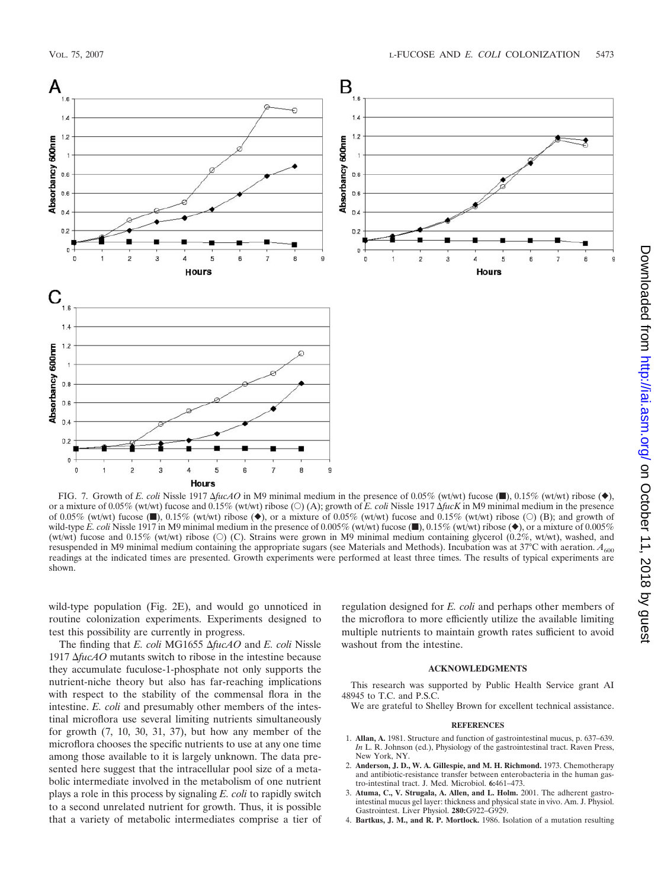

FIG. 7. Growth of *E. coli* Nissle 1917  $\Delta fucAO$  in M9 minimal medium in the presence of 0.05% (wt/wt) fucose ( $\blacksquare$ ), 0.15% (wt/wt) ribose  $(\blacklozenge)$ , or a mixture of 0.05% (wt/wt) fucose and 0.15% (wt/wt) ribose (O) (A); growth of *E. coli* Nissle 1917  $\Delta fucK$  in M9 minimal medium in the presence of 0.05% (wt/wt) fucose  $(\blacksquare)$ , 0.15% (wt/wt) ribose  $(\blacklozenge)$ , or a mixture of 0.05% (wt/wt) fucose and 0.15% (wt/wt) ribose  $(\bigcirc)$  (B); and growth of wild-type *E. coli* Nissle 1917 in M9 minimal medium in the presence of 0.005% (wt/wt) fucose  $(\blacksquare)$ , 0.15% (wt/wt) ribose  $(\blacklozenge)$ , or a mixture of 0.005% (wt/wt) fucose and 0.15% (wt/wt) ribose ( $\circ$ ) (C). Strains were grown in M9 minimal medium containing glycerol (0.2%, wt/wt), washed, and resuspended in M9 minimal medium containing the appropriate sugars (see Materials and Methods). Incubation was at 37°C with aeration. *A*<sup>600</sup> readings at the indicated times are presented. Growth experiments were performed at least three times. The results of typical experiments are shown.

wild-type population (Fig. 2E), and would go unnoticed in routine colonization experiments. Experiments designed to test this possibility are currently in progress.

The finding that *E. coli* MG1655 Δ*fucAO* and *E. coli* Nissle 1917  $\Delta$ *fucAO* mutants switch to ribose in the intestine because they accumulate fuculose-1-phosphate not only supports the nutrient-niche theory but also has far-reaching implications with respect to the stability of the commensal flora in the intestine. *E. coli* and presumably other members of the intestinal microflora use several limiting nutrients simultaneously for growth  $(7, 10, 30, 31, 37)$ , but how any member of the microflora chooses the specific nutrients to use at any one time among those available to it is largely unknown. The data presented here suggest that the intracellular pool size of a metabolic intermediate involved in the metabolism of one nutrient plays a role in this process by signaling *E. coli* to rapidly switch to a second unrelated nutrient for growth. Thus, it is possible that a variety of metabolic intermediates comprise a tier of

regulation designed for *E. coli* and perhaps other members of the microflora to more efficiently utilize the available limiting multiple nutrients to maintain growth rates sufficient to avoid washout from the intestine.

#### **ACKNOWLEDGMENTS**

This research was supported by Public Health Service grant AI 48945 to T.C. and P.S.C.

We are grateful to Shelley Brown for excellent technical assistance.

#### **REFERENCES**

- 1. **Allan, A.** 1981. Structure and function of gastrointestinal mucus, p. 637–639. *In* L. R. Johnson (ed.), Physiology of the gastrointestinal tract. Raven Press, New York, NY.
- 2. **Anderson, J. D., W. A. Gillespie, and M. H. Richmond.** 1973. Chemotherapy and antibiotic-resistance transfer between enterobacteria in the human gastro-intestinal tract. J. Med. Microbiol. **6:**461–473.
- 3. **Atuma, C., V. Strugala, A. Allen, and L. Holm.** 2001. The adherent gastrointestinal mucus gel layer: thickness and physical state in vivo. Am. J. Physiol. Gastrointest. Liver Physiol. **280:**G922–G929.
- 4. **Bartkus, J. M., and R. P. Mortlock.** 1986. Isolation of a mutation resulting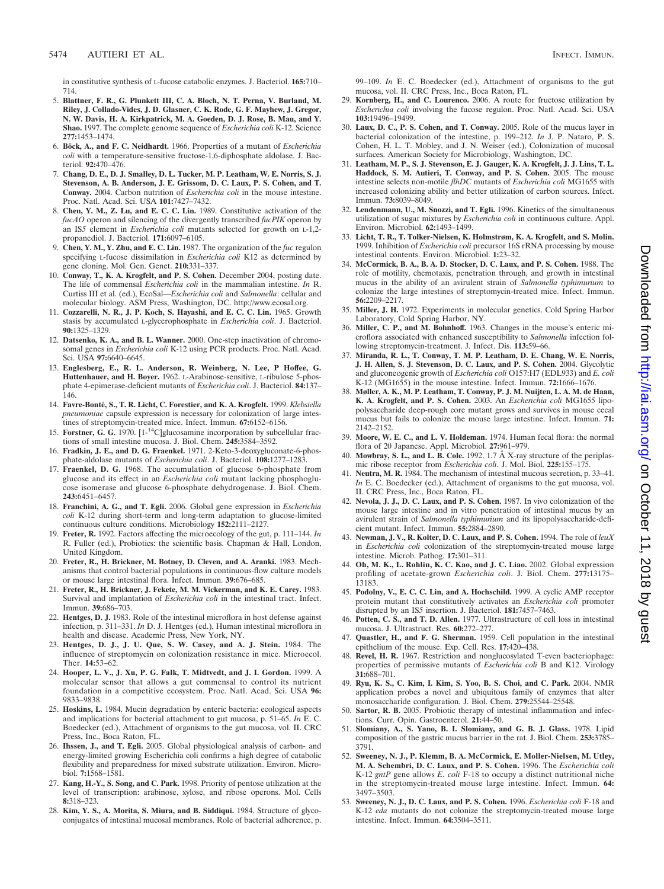in constitutive synthesis of L-fucose catabolic enzymes. J. Bacteriol. **165:**710– 714.

- 5. **Blattner, F. R., G. Plunkett III, C. A. Bloch, N. T. Perna, V. Burland, M. Riley, J. Collado-Vides, J. D. Glasner, C. K. Rode, G. F. Mayhew, J. Gregor, N. W. Davis, H. A. Kirkpatrick, M. A. Goeden, D. J. Rose, B. Mau, and Y. Shao.** 1997. The complete genome sequence of *Escherichia coli* K-12. Science **277:**1453–1474.
- 6. **Bo¨ck, A., and F. C. Neidhardt.** 1966. Properties of a mutant of *Escherichia coli* with a temperature-sensitive fructose-1,6-diphosphate aldolase. J. Bacteriol. **92:**470–476.
- 7. **Chang, D. E., D. J. Smalley, D. L. Tucker, M. P. Leatham, W. E. Norris, S. J. Stevenson, A. B. Anderson, J. E. Grissom, D. C. Laux, P. S. Cohen, and T. Conway.** 2004. Carbon nutrition of *Escherichia coli* in the mouse intestine. Proc. Natl. Acad. Sci. USA **101:**7427–7432.
- 8. **Chen, Y. M., Z. Lu, and E. C. C. Lin.** 1989. Constitutive activation of the *fucAO* operon and silencing of the divergently transcribed *fucPIK* operon by an IS*5* element in *Escherichia coli* mutants selected for growth on L-1,2 propanediol. J. Bacteriol. **171:**6097–6105.
- 9. **Chen, Y. M., Y. Zhu, and E. C. Lin.** 1987. The organization of the *fuc* regulon specifying L-fucose dissimilation in *Escherichia coli* K12 as determined by gene cloning. Mol. Gen. Genet. **210:**331–337.
- 10. **Conway, T., K. A. Krogfelt, and P. S. Cohen.** December 2004, posting date. The life of commensal *Escherichia coli* in the mammalian intestine. *In* R. Curtiss III et al. (ed.), EcoSal—*Escherichia coli* and *Salmonella*: cellular and molecular biology. ASM Press, Washington, DC. http://www.ecosal.org.
- 11. **Cozzarelli, N. R., J. P. Koch, S. Hayashi, and E. C. C. Lin.** 1965. Growth stasis by accumulated L-glycerophosphate in *Escherichia coli*. J. Bacteriol. **90:**1325–1329.
- 12. **Datsenko, K. A., and B. L. Wanner.** 2000. One-step inactivation of chromosomal genes in *Escherichia coli* K-12 using PCR products. Proc. Natl. Acad. Sci. USA **97:**6640–6645.
- 13. **Englesberg, E., R. L. Anderson, R. Weinberg, N. Lee, P Hoffee, G. Huttenhauer, and H. Boyer.** 1962. L-Arabinose-sensitive, L-ribulose 5-phosphate 4-epimerase-deficient mutants of *Escherichia coli*. J. Bacteriol. **84:**137– 146.
- 14. **Favre-Bonte´, S., T. R. Licht, C. Forestier, and K. A. Krogfelt.** 1999. *Klebsiella pneumoniae* capsule expression is necessary for colonization of large intestines of streptomycin-treated mice. Infect. Immun. **67:**6152–6156.
- Forstner, G. G. 1970. [1-<sup>14</sup>C]glucosamine incorporation by subcellular fractions of small intestine mucosa. J. Biol. Chem. **245:**3584–3592.
- 16. **Fradkin, J. E., and D. G. Fraenkel.** 1971. 2-Keto-3-deoxygluconate-6-phosphate-aldolase mutants of *Escherichia coli*. J. Bacteriol. **108:**1277–1283.
- 17. **Fraenkel, D. G.** 1968. The accumulation of glucose 6-phosphate from glucose and its effect in an *Escherichia coli* mutant lacking phosphoglucose isomerase and glucose 6-phosphate dehydrogenase. J. Biol. Chem. **243:**6451–6457.
- 18. **Franchini, A. G., and T. Egli.** 2006. Global gene expression in *Escherichia coli* K-12 during short-term and long-term adaptation to glucose-limited continuous culture conditions. Microbiology **152:**2111–2127.
- 19. **Freter, R.** 1992. Factors affecting the microecology of the gut, p. 111–144. *In* R. Fuller (ed.), Probiotics: the scientific basis. Chapman & Hall, London, United Kingdom.
- 20. **Freter, R., H. Brickner, M. Botney, D. Cleven, and A. Aranki.** 1983. Mechanisms that control bacterial populations in continuous-flow culture models or mouse large intestinal flora. Infect. Immun. **39:**676–685.
- 21. **Freter, R., H. Brickner, J. Fekete, M. M. Vickerman, and K. E. Carey.** 1983. Survival and implantation of *Escherichia coli* in the intestinal tract. Infect. Immun. **39:**686–703.
- 22. **Hentges, D. J.** 1983. Role of the intestinal microflora in host defense against infection, p. 311–331. *In* D. J. Hentges (ed.), Human intestinal microflora in health and disease. Academic Press, New York, NY.
- 23. **Hentges, D. J., J. U. Que, S. W. Casey, and A. J. Stein.** 1984. The influence of streptomycin on colonization resistance in mice. Microecol. Ther. **14:**53–62.
- 24. **Hooper, L. V., J. Xu, P. G. Falk, T. Midtvedt, and J. I. Gordon.** 1999. A molecular sensor that allows a gut commensal to control its nutrient foundation in a competitive ecosystem. Proc. Natl. Acad. Sci. USA **96:** 9833–9838.
- 25. **Hoskins, L.** 1984. Mucin degradation by enteric bacteria: ecological aspects and implications for bacterial attachment to gut mucosa, p. 51–65. *In* E. C. Boedecker (ed.), Attachment of organisms to the gut mucosa, vol. II. CRC Press, Inc., Boca Raton, FL.
- 26. **Ihssen, J., and T. Egli.** 2005. Global physiological analysis of carbon- and energy-limited growing Escherichia coli confirms a high degree of catabolic flexibility and preparedness for mixed substrate utilization. Environ. Microbiol. **7:**1568–1581.
- 27. **Kang, H.-Y., S. Song, and C. Park.** 1998. Priority of pentose utilization at the level of transcription: arabinose, xylose, and ribose operons. Mol. Cells **8:**318–323.
- 28. **Kim, Y. S., A. Morita, S. Miura, and B. Siddiqui.** 1984. Structure of glycoconjugates of intestinal mucosal membranes. Role of bacterial adherence, p.

99–109. *In* E. C. Boedecker (ed.), Attachment of organisms to the gut mucosa, vol. II. CRC Press, Inc., Boca Raton, FL.

- 29. **Kornberg, H., and C. Lourenco.** 2006. A route for fructose utilization by *Escherichia coli* involving the fucose regulon. Proc. Natl. Acad. Sci. USA **103:**19496–19499.
- 30. **Laux, D. C., P. S. Cohen, and T. Conway.** 2005. Role of the mucus layer in bacterial colonization of the intestine, p. 199–212. *In* J. P. Nataro, P. S. Cohen, H. L. T. Mobley, and J. N. Weiser (ed.), Colonization of mucosal surfaces. American Society for Microbiology, Washington, DC.
- 31. **Leatham, M. P., S. J. Stevenson, E. J. Gauger, K. A. Krogfelt, J. J. Lins, T. L. Haddock, S. M. Autieri, T. Conway, and P. S. Cohen.** 2005. The mouse intestine selects non-motile *flhDC* mutants of *Escherichia coli* MG1655 with increased colonizing ability and better utilization of carbon sources. Infect. Immun. **73:**8039–8049.
- 32. **Lendenmann, U., M. Snozzi, and T. Egli.** 1996. Kinetics of the simultaneous utilization of sugar mixtures by *Escherichia coli* in continuous culture. Appl. Environ. Microbiol. **62:**1493–1499.
- 33. **Licht, T. R., T. Tolker-Nielsen, K. Holmstrøm, K. A. Krogfelt, and S. Molin.** 1999. Inhibition of *Escherichia coli* precursor 16S rRNA processing by mouse intestinal contents. Environ. Microbiol. **1:**23–32.
- 34. **McCormick, B. A., B. A. D. Stocker, D. C. Laux, and P. S. Cohen.** 1988. The role of motility, chemotaxis, penetration through, and growth in intestinal mucus in the ability of an avirulent strain of *Salmonella typhimurium* to colonize the large intestines of streptomycin-treated mice. Infect. Immun. **56:**2209–2217.
- 35. **Miller, J. H.** 1972. Experiments in molecular genetics. Cold Spring Harbor Laboratory, Cold Spring Harbor, NY.
- 36. **Miller, C. P., and M. Bohnhoff.** 1963. Changes in the mouse's enteric microflora associated with enhanced susceptibility to *Salmonella* infection following streptomycin-treatment. J. Infect. Dis. **113:**59–66.
- 37. **Miranda, R. L., T. Conway, T. M. P. Leatham, D. E. Chang, W. E. Norris, J. H. Allen, S. J. Stevenson, D. C. Laux, and P. S. Cohen.** 2004. Glycolytic and gluconeogenic growth of *Escherichia coli* O157:H7 (EDL933) and *E. coli* K-12 (MG1655) in the mouse intestine. Infect. Immun. **72:**1666–1676.
- 38. **Møller, A. K., M. P. Leatham, T. Conway, P. J. M. Nuijten, L. A. M. de Haan, K. A. Krogfelt, and P. S. Cohen.** 2003. An *Escherichia coli* MG1655 lipopolysaccharide deep-rough core mutant grows and survives in mouse cecal mucus but fails to colonize the mouse large intestine. Infect. Immun. **71:** 2142–2152.
- 39. **Moore, W. E. C., and L. V. Holdeman.** 1974. Human fecal flora: the normal flora of 20 Japanese. Appl. Microbiol. **27:**961–979.
- 40. **Mowbray, S. L., and L. B. Cole.** 1992. 1.7 Å X-ray structure of the periplasmic ribose receptor from *Escherichia coli*. J. Mol. Biol. **225:**155–175.
- 41. **Neutra, M. R.** 1984. The mechanism of intestinal mucous secretion, p. 33–41. *In* E. C. Boedecker (ed.), Attachment of organisms to the gut mucosa, vol. II. CRC Press, Inc., Boca Raton, FL.
- 42. **Nevola, J. J., D. C. Laux, and P. S. Cohen.** 1987. In vivo colonization of the mouse large intestine and in vitro penetration of intestinal mucus by an avirulent strain of *Salmonella typhimurium* and its lipopolysaccharide-deficient mutant. Infect. Immun. **55:**2884–2890.
- 43. **Newman, J. V., R. Kolter, D. C. Laux, and P. S. Cohen.** 1994. The role of *leuX* in *Escherichia coli* colonization of the streptomycin-treated mouse large intestine. Microb. Pathog. **17:**301–311.
- 44. **Oh, M. K., L. Rohlin, K. C. Kao, and J. C. Liao.** 2002. Global expression profiling of acetate-grown *Escherichia coli*. J. Biol. Chem. **277:**13175– 13183.
- 45. **Podolny, V., E. C. C. Lin, and A. Hochschild.** 1999. A cyclic AMP receptor protein mutant that constitutively activates an *Escherichia coli* promoter disrupted by an IS*5* insertion. J. Bacteriol. **181:**7457–7463.
- 46. **Potten, C. S., and T. D. Allen.** 1977. Ultrastructure of cell loss in intestinal mucosa. J. Ultrastruct. Res. **60:**272–277.
- 47. **Quastler, H., and F. G. Sherman.** 1959. Cell population in the intestinal epithelium of the mouse. Exp. Cell. Res. **17:**420–438.
- 48. **Revel, H. R.** 1967. Restriction and nonglucosylated T-even bacteriophage: properties of permissive mutants of *Escherichia coli* B and K12. Virology **31:**688–701.
- 49. **Ryu, K. S., C. Kim, I. Kim, S. Yoo, B. S. Choi, and C. Park.** 2004. NMR application probes a novel and ubiquitous family of enzymes that alter monosaccharide configuration. J. Biol. Chem. **279:**25544–25548.
- 50. **Sartor, R. B.** 2005. Probiotic therapy of intestinal inflammation and infections. Curr. Opin. Gastroenterol. **21:**44–50.
- 51. **Slomiany, A., S. Yano, B. I. Slomiany, and G. B. J. Glass.** 1978. Lipid composition of the gastric mucus barrier in the rat. J. Biol. Chem. **253:**3785– 3791.
- 52. **Sweeney, N. J., P. Klemm, B. A. McCormick, E. Moller-Nielsen, M. Utley, M. A. Schembri, D. C. Laux, and P. S. Cohen.** 1996. The *Escherichia coli* K-12 *gntP* gene allows *E. coli* F-18 to occupy a distinct nutritional niche in the streptomycin-treated mouse large intestine. Infect. Immun. **64:** 3497–3503.
- 53. **Sweeney, N. J., D. C. Laux, and P. S. Cohen.** 1996. *Escherichia coli* F-18 and K-12 *eda* mutants do not colonize the streptomycin-treated mouse large intestine. Infect. Immun. **64:**3504–3511.